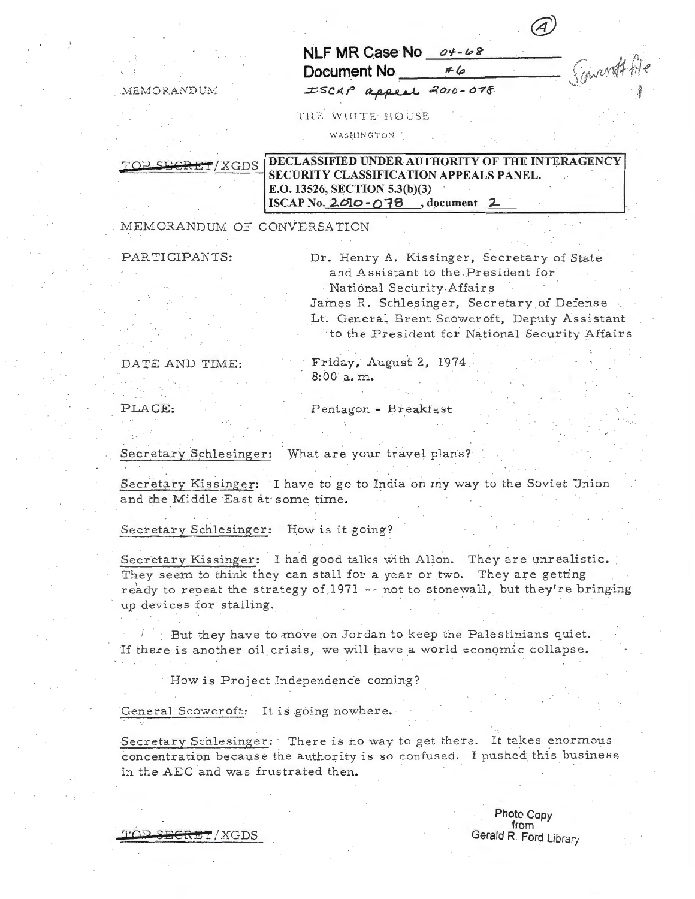|                        |        | $\sqrt{1}$ |                |
|------------------------|--------|------------|----------------|
| NLF MR Case No 04-68   |        |            |                |
| Document No            | $\#$ 6 |            | Finovat ht     |
| ISCAP appeal 2010-078. |        |            | $-\frac{1}{2}$ |

 $MEMORANDUM$ 

THE WH1TE· HOLSE

WASHINGTON

TOP SEGRET/XGDS DECLASSIFIED UNDER AUTHORITY OF THE INTERAGENCY SECURITY CLASSIFICATION APPEALS PANEL. E.O. 13526, SECTION 5.3(b)(3) ISCAP No. 201o-o1S , document *2*

MEMORANDUM OF CONVERSATION

PARTICIPANTS: Dr. Henry A. Kissinger, Secretary of State and Assistant to the President for · National Security Affairs James R. Schlesinger, Secretary of Defense Lt. General Brent Scowcroft, Deputy Assistant to the President for National Security Affairs

DATE AND TIME: Friday, August 2, 1974. 8:00 a.m.

PLACE: Pentagon - Breakfast

' . . .

Secretary Schlesinger: What are your travel plans?

Secretary Kissinger: I have to go to India on my way to the Soviet Union and the Middle East at some time.

Secretary Schlesinger: How is it going?

Secretary Kissinger: I had good talks with Allan. They are unrealistic. They seem to think they can stall for a year or two. They are getting ready to repeat the strategy of 1971 -- not to stonewall, but they're bringing up devices for stalling.

*1*  But they have to move on Jordan to keep the Palestinians quiet. If there is another oil crisis, we will have a world economic collapse.

How is Project Independence coming?

General Scowcroft: It is going nowhere.

TOP SECRET/XGDS

Secretary Schlesinger: There is no way to get there. It takes enormous concentration because the authority is so confused. I pushed this business in the AEC and was frustrated then.

> Photo Copy from<br>Gerald R. Ford Library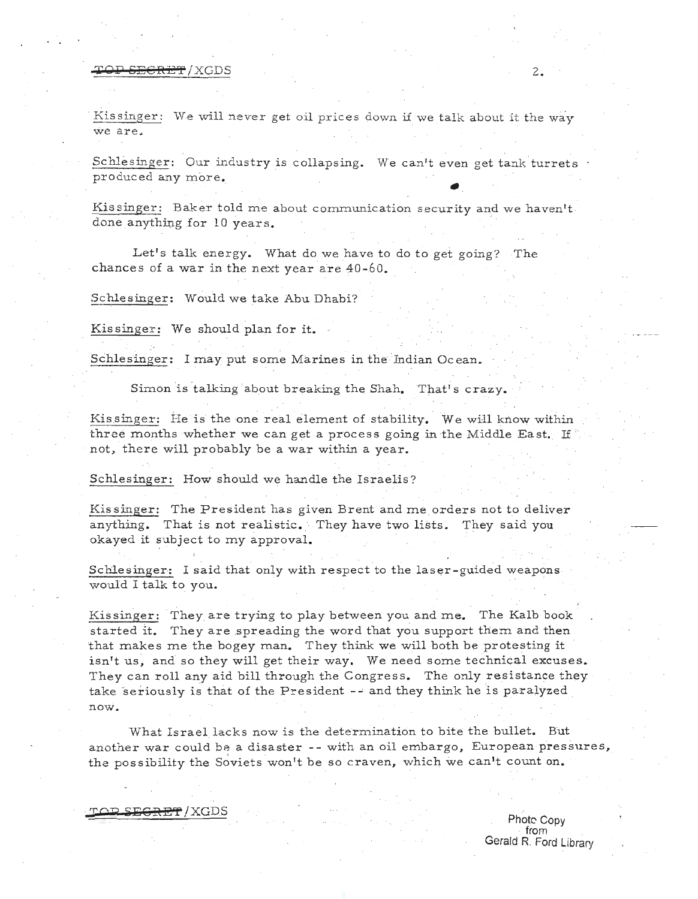### **TOP SECRET/XGDS** 2.

Kissinger: We will never get oil prices down if we talk about it the way we are.

Schlesinger: Our industry is collapsing. We can't even get tank turrets . produced any more.

Kissinger: Baker told me about communication security and we haven't. done anything for 10 years.

Let's talk energy. What do we have to do to get going? The chances of a war in the next year are 40-60.

Schlesinger: Would we take Abu Dhabi?

Kissinger: We should plan for it.

Schlesinger: I may put some Marines in the Indian Ocean.

Simon is talking about breaking the Shah. That's crazy.

Kissinger: He is the one real element of stability. We will know within three months whether we can get a process going in the Middle East. If not, there will probably be a war within a year.

Schlesinger: How should we handle the Israelis?

Kissinger: The President has given Brent and me orders not to deliver anything. That is not realistic. They have two lists. They said you okayed it subject to my approval.

Schlesinger: I said that only with respect to the laser-guided weapons would I talk to you.

Kissinger: They are trying to play between you and me. The Kalb book started it. They are spreading the word that you support them and then that makes me the bogey man. They think we will both be protesting it isn't us, and so they will get their way. We need some technical excuses. They can roll any aid bill through the Congress. The only resistance they take seriously is that of the President -- and they think he is paralyzed novi.

What Israel lacks now is the determination to bite the bullet. But another war could be a disaster -- with an oil embargo, European pressures, the possibility the Soviets won't be so craven, which we can't count on.

*TOP* ~~CRE't' / XGDS

Photo Copy from Gerald R. Ford Library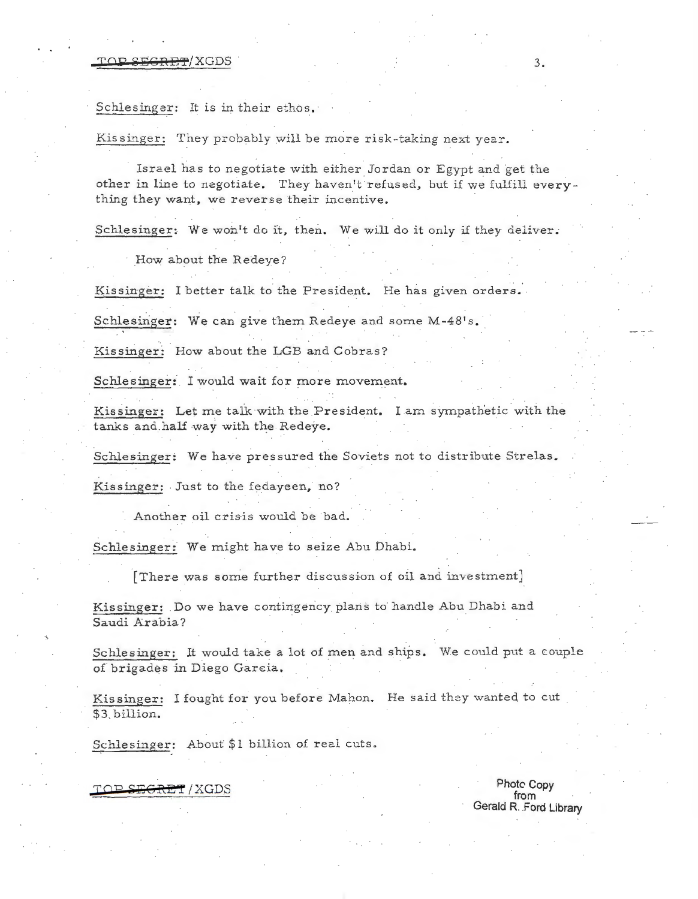#### $\Gamma$   $\cap$   $\Gamma$   $\subset$   $\Gamma$   $\subset$   $\Gamma$   $\subset$   $\Gamma$   $\subset$   $\Gamma$   $\subset$   $\Gamma$   $\subset$   $\Gamma$   $\subset$   $\Gamma$   $\subset$   $\Gamma$   $\subset$   $\Gamma$   $\subset$   $\Gamma$   $\subset$   $\Gamma$   $\subset$   $\Gamma$   $\subset$   $\Gamma$   $\subset$   $\Gamma$   $\subset$   $\Gamma$   $\subset$   $\Gamma$   $\subset$   $\Gamma$   $\subset$   $\Gamma$   $\subset$   $\Gamma$   $\subset$   $\Gamma$   $\subset$

Schlesinger: It is in their ethos.

Kissinger: They probably will be more risk-taking next year.

Israel has to negotiate with either Jordan or Egypt and get the other in line to negotiate. They haven't refused, but if we fulfill everything they want, we reverse their incentive.

Schlesinger: We won't do *it,* then. We will do it only if they deliver.

How about the R edeye?

Kissinger: I better talk to the President. He has given orders.

Schlesinger: We can give them Redeye and some M-48's.

Kissinger: How about the LGB and Cobras?

Schlesinger: I would wait for more movement.

Kissinger: Let me talk with the President. I am sympathetic with the tanks and half way with the Redeye.

Schlesinger: We have pressured the Soviets not to distribute Strelas.

Kissinger: Just to the fedayeen, no?

Another oil crisis would be bad.

Schlesinger: We might have to seize Abu Dhabi.

[There was some further discussion of oil and investment]

Kissinger: Do we have contingency plans to handle Abu Dhabi and Saudi Arabia?

Schlesinger: It would take a lot of men and ships. We could put a couple of brigades in Diego Garcia.

Kissinger: I fought for you before Mahon. He said they wanted to cut \$3. b illion.

Schlesinger: About \$1 billion of real cuts.

Photc Copy .:ron ~:JftGR:E"! /XGDS from Gerald R. Ford Library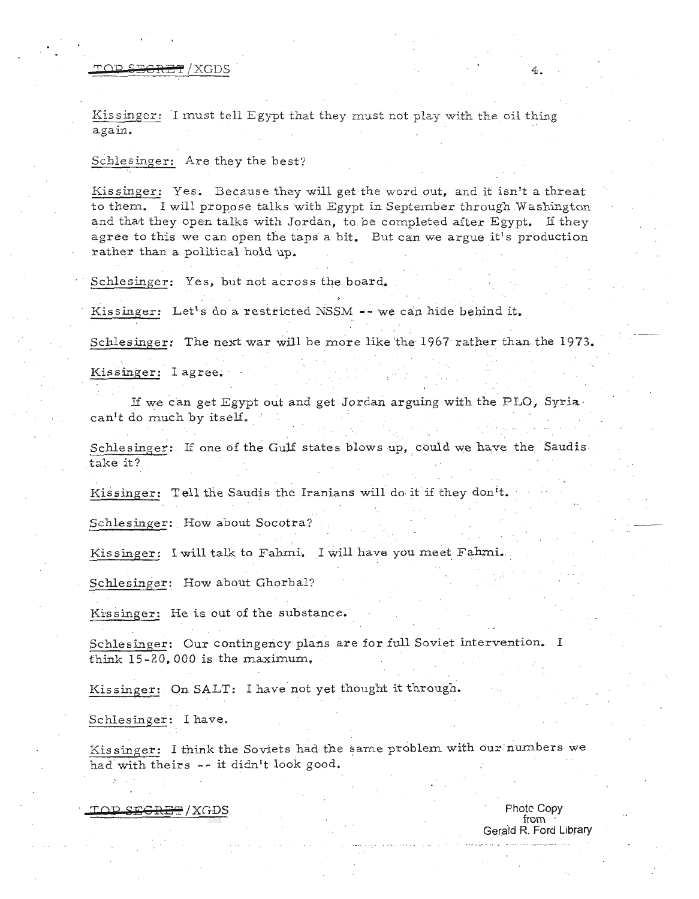## TOP SECRET/XGDS 4.

Kissinger: I must tell Egypt that they must not play with the oil thing again.

#### Schlesinger: Are they the best?

Kissinger: Yes. Because they will get the word out, and it isn't a threat to them. I will propose talks with Egypt in September through Washington and that they open talks with Jordan, to be completed after Egypt. If they agree to this we can open the taps a bit. But can we argue it's production rather than a political hold up.

Schlesinger: Yes, but not across the board.

Kissinger: Let's do a restricted NSSM -- we can hide behind it.

. . Schlesinger: The next war will be more like 'the 1967 rather than the 1973.

Kissinger: I agree.

If we can get Egypt out and get Jordan arguing with the PLO, Syria. can't do much by itself.

Schlesinger: If one of the Gulf states blows up, could we have the Saudis take it?

Kissinger: Tell the Saudis the Iranians will do it if they don't.

Schlesinger: How about Socotra?

Kissinger: I will talk to Fahmi. I will have you meet Fahmi.

Schlesinger: How about Ghorbal?

Kissinger: He is out of the substance.

Schlesinger: Our contingency plans are for full Soviet intervention. I think 15-20,000 is the maximum.

Kissinger: On SALT: I have not yet thought it through.

Schlesinger: I have.

Kissinger: I think the Soviets had the same problem with our numbers we had with theirs -- it didn't look good.

 $\overline{Y}$   $\overline{C}$   $\overline{C}$   $\overline{C}$   $\overline{C}$   $\overline{C}$   $\overline{C}$   $\overline{C}$   $\overline{C}$   $\overline{C}$   $\overline{C}$   $\overline{C}$   $\overline{C}$   $\overline{C}$   $\overline{C}$   $\overline{C}$   $\overline{C}$   $\overline{C}$   $\overline{C}$   $\overline{C}$   $\overline{C}$   $\overline{C}$   $\overline{C}$   $\overline{C}$   $\overline{C$ 

from Gerald R. Ford Library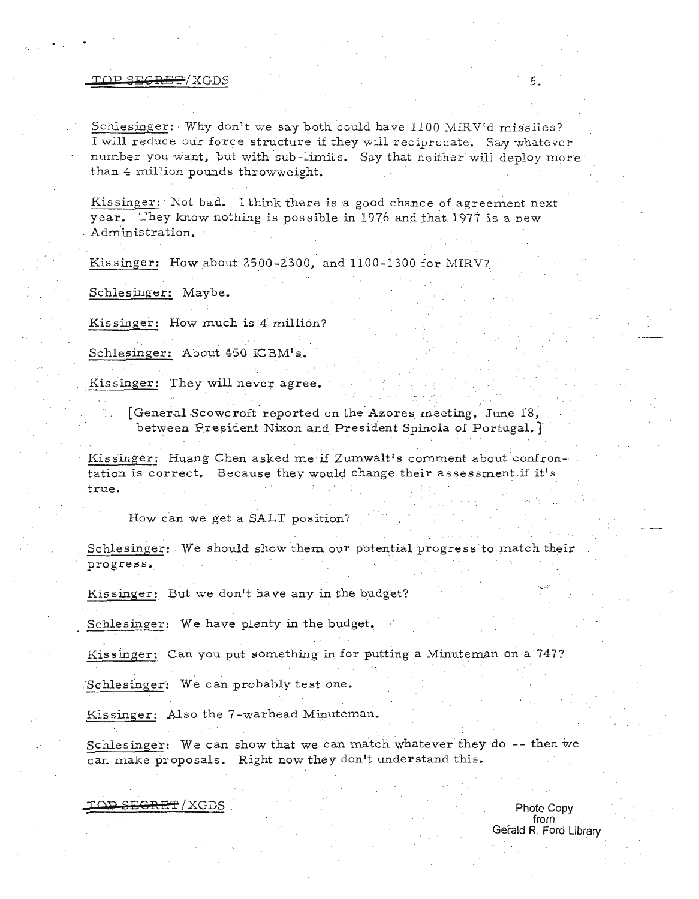#### yap 's 'is 'i see that the second second second second second second second second second second second second second second second second second second second second second second second second second second second second

Schlesinger: Why don't we say both could have 1100 MIRV'd missiles? I will reduce our force structure if they will reciprocate. Say whatever number you want, but with sub-limits. Say that neither will deploy more than 4 million pounds throwweight.

Kissinger: Not bad. I think there is a good chance of agreement next year. They know nothing is possible in 1976 and that 1977 is a new . Administration.

Kissinger: How about 2500-2300, and 1100-1300 for MIRV?

Schlesinger: Maybe.

Kissinger: How much is 4 million?

Schlesinger: About 450 ICBM's.

Kissinger: They will never agree.

[General Scowcroft reported on the Azores meeting, June  $18$ . between President Nixon and President Spinola of Portugal. J

Kissinger: Huang Chen asked me if Zumwalt's comment about confron tation is correct. Because they would change their assessment if it's true.

How can we get a SALT position?

Schlesinger: We should show them our potential progress'to match their progress.

Kissinger: But we don't have any in the budget?

Schlesinger: We have plenty in the budget.

Kissinger: Can you put something in for putting a Minuteman on a 747?

Schlesinger: We can probably test one.

Kissinger: Also the 7-warhead Minuteman.

Schlesinger: We can show that we can match whatever they do -- then we can make proposals. Right now they don't understand this.

**TOP SEGRET / XGDS** Photo Copy

from . Gerald R. Ford Library

·.... ....:.·